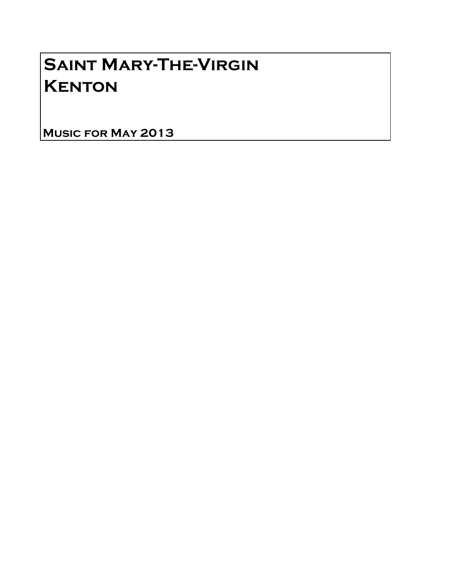# Saint Mary-The-Virgin **KENTON**

Music for May 2013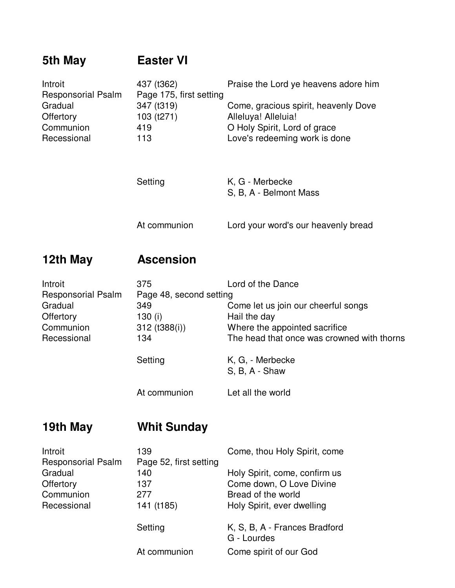| 5th May                                                                                  | <b>Easter VI</b>                                                                |                                                                                                                                                                      |
|------------------------------------------------------------------------------------------|---------------------------------------------------------------------------------|----------------------------------------------------------------------------------------------------------------------------------------------------------------------|
| Introit<br><b>Responsorial Psalm</b><br>Gradual<br>Offertory<br>Communion<br>Recessional | 437 (t362)<br>Page 175, first setting<br>347 (t319)<br>103 (t271)<br>419<br>113 | Praise the Lord ye heavens adore him<br>Come, gracious spirit, heavenly Dove<br>Alleluya! Alleluia!<br>O Holy Spirit, Lord of grace<br>Love's redeeming work is done |
|                                                                                          | Setting                                                                         | K, G - Merbecke<br>S, B, A - Belmont Mass                                                                                                                            |
|                                                                                          | At communion                                                                    | Lord your word's our heavenly bread                                                                                                                                  |
| 12th May                                                                                 | <b>Ascension</b>                                                                |                                                                                                                                                                      |

| Introit                   | 375                     | Lord of the Dance                          |  |
|---------------------------|-------------------------|--------------------------------------------|--|
| <b>Responsorial Psalm</b> | Page 48, second setting |                                            |  |
| Gradual                   | 349                     | Come let us join our cheerful songs        |  |
| Offertory                 | 130 (i)                 | Hail the day                               |  |
| Communion                 | 312 (t388(i))           | Where the appointed sacrifice              |  |
| Recessional               | 134                     | The head that once was crowned with thorns |  |
|                           | Setting                 | K, G, - Merbecke<br>S, B, A - Shaw         |  |
|                           | At communion            | Let all the world                          |  |

## **19th May Whit Sunday**

| Introit<br><b>Responsorial Psalm</b> | 139<br>Page 52, first setting | Come, thou Holy Spirit, come                 |
|--------------------------------------|-------------------------------|----------------------------------------------|
| Gradual                              | 140                           | Holy Spirit, come, confirm us                |
| Offertory                            | 137                           | Come down, O Love Divine                     |
| Communion                            | 277                           | Bread of the world                           |
| Recessional                          | 141 (t185)                    | Holy Spirit, ever dwelling                   |
|                                      | Setting                       | K, S, B, A - Frances Bradford<br>G - Lourdes |
|                                      | At communion                  | Come spirit of our God                       |